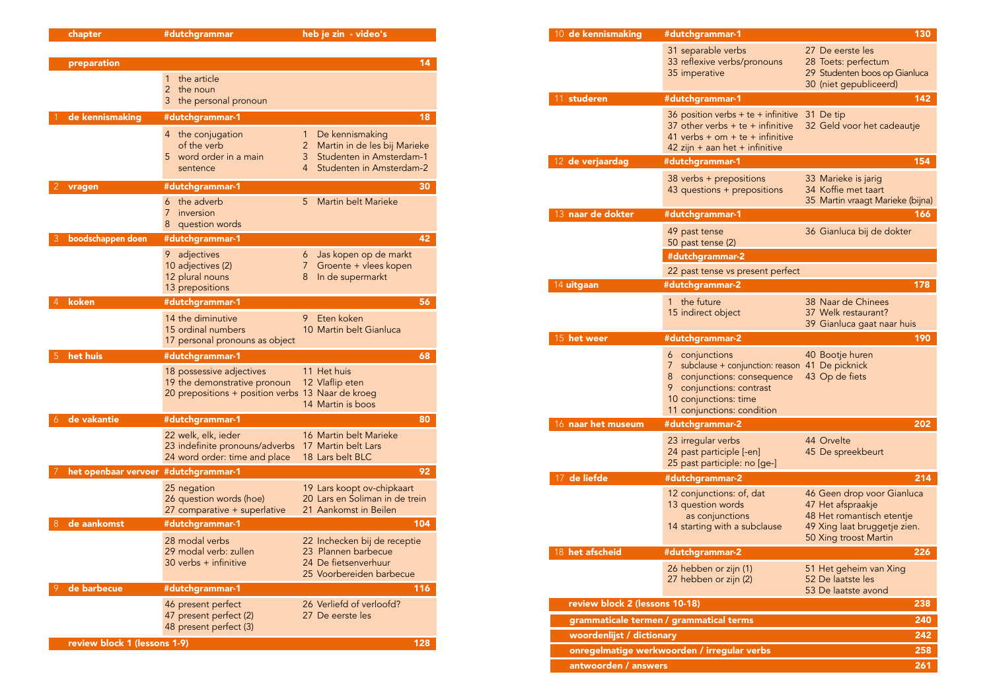| chapter                      | #dutchgrammar                                                                                                 | heb je zin - video's                                                                                                                     |
|------------------------------|---------------------------------------------------------------------------------------------------------------|------------------------------------------------------------------------------------------------------------------------------------------|
|                              |                                                                                                               |                                                                                                                                          |
| preparation                  |                                                                                                               | 14                                                                                                                                       |
|                              | the article<br>1<br>2<br>the noun<br>the personal pronoun<br>З                                                |                                                                                                                                          |
| de kennismaking              | #dutchgrammar-1                                                                                               | 18                                                                                                                                       |
|                              | the conjugation<br>4<br>of the verb<br>word order in a main<br>5.<br>sentence                                 | De kennismaking<br>1<br>Martin in de les bij Marieke<br>$\overline{2}$<br>Studenten in Amsterdam-1<br>3<br>4<br>Studenten in Amsterdam-2 |
| vragen                       | #dutchgrammar-1                                                                                               | 30                                                                                                                                       |
|                              | the adverb<br>6<br>7<br>inversion<br>question words<br>8                                                      | Martin belt Marieke<br>5                                                                                                                 |
| boodschappen doen            | #dutchgrammar-1                                                                                               | 42                                                                                                                                       |
|                              | adjectives<br>9<br>10 adjectives (2)<br>12 plural nouns<br>13 prepositions                                    | Jas kopen op de markt<br>6<br>$\overline{7}$<br>Groente + vlees kopen<br>In de supermarkt<br>8                                           |
| koken                        | #dutchgrammar-1                                                                                               | 56                                                                                                                                       |
|                              | 14 the diminutive<br>15 ordinal numbers<br>17 personal pronouns as object                                     | Eten koken<br>9<br>10 Martin belt Gianluca                                                                                               |
| het huis                     | #dutchgrammar-1                                                                                               | 68                                                                                                                                       |
|                              | 18 possessive adjectives<br>19 the demonstrative pronoun<br>20 prepositions + position verbs 13 Naar de kroeg | 11 Het huis<br>12 Vlaflip eten<br>14 Martin is boos                                                                                      |
| de vakantie<br>6             | #dutchgrammar-1                                                                                               | 80                                                                                                                                       |
|                              | 22 welk, elk, ieder<br>23 indefinite pronouns/adverbs<br>24 word order: time and place                        | 16 Martin belt Marieke<br>17 Martin belt Lars<br>18 Lars belt BLC                                                                        |
| het openbaar vervoer         | #dutchgrammar-1                                                                                               | 92                                                                                                                                       |
|                              | 25 negation<br>26 question words (hoe)<br>27 comparative + superlative                                        | 19 Lars koopt ov-chipkaart<br>20 Lars en Soliman in de trein<br>21 Aankomst in Beilen                                                    |
| de aankomst<br>8             | #dutchgrammar-1                                                                                               | 104                                                                                                                                      |
|                              | 28 modal verbs<br>29 modal verb: zullen<br>$30$ verbs $+$ infinitive                                          | 22 Inchecken bij de receptie<br>23 Plannen barbecue<br>24 De fietsenverhuur<br>25 Voorbereiden barbecue                                  |
| de barbecue                  | #dutchgrammar-1                                                                                               | 116                                                                                                                                      |
|                              | 46 present perfect<br>47 present perfect (2)<br>48 present perfect (3)                                        | 26 Verliefd of verloofd?<br>27 De eerste les                                                                                             |
| review block 1 (lessons 1-9) |                                                                                                               | 128                                                                                                                                      |

| 10 <b>de kennismaking</b>             | #dutchgrammar-1                                                                                                                                                                                   | 130                                                                                                                                   |
|---------------------------------------|---------------------------------------------------------------------------------------------------------------------------------------------------------------------------------------------------|---------------------------------------------------------------------------------------------------------------------------------------|
|                                       | 31 separable verbs<br>33 reflexive verbs/pronouns<br>35 imperative                                                                                                                                | 27 De eerste les<br>28 Toets: perfectum<br>29 Studenten boos op Gianluca<br>30 (niet gepubliceerd)                                    |
| 11 studeren                           | #dutchgrammar-1                                                                                                                                                                                   | 142                                                                                                                                   |
|                                       | 36 position verbs $+$ te $+$ infinitive<br>37 other verbs $+$ te $+$ infinitive<br>41 verbs + $om + te +$ infinitive<br>42 zijn + aan het + infinitive                                            | 31 De tip<br>32 Geld voor het cadeautje                                                                                               |
| 12 de verjaardag                      | #dutchgrammar-1                                                                                                                                                                                   | 154                                                                                                                                   |
|                                       | 38 verbs + prepositions<br>43 questions + prepositions                                                                                                                                            | 33 Marieke is jarig<br>34 Koffie met taart<br>35 Martin vraagt Marieke (bijna)                                                        |
| 13 naar de dokter                     | #dutchgrammar-1                                                                                                                                                                                   | 166                                                                                                                                   |
|                                       | 49 past tense<br>50 past tense (2)                                                                                                                                                                | 36 Gianluca bij de dokter                                                                                                             |
|                                       | #dutchgrammar-2                                                                                                                                                                                   |                                                                                                                                       |
|                                       | 22 past tense vs present perfect                                                                                                                                                                  |                                                                                                                                       |
| 14 uitgaan                            | #dutchgrammar-2                                                                                                                                                                                   | 178                                                                                                                                   |
|                                       | 1 the future<br>15 indirect object                                                                                                                                                                | 38 Naar de Chinees<br>37 Welk restaurant?<br>39 Gianluca gaat naar huis                                                               |
| 15 het weer                           | #dutchgrammar-2                                                                                                                                                                                   | 190                                                                                                                                   |
|                                       | conjunctions<br>6<br>subclause + conjunction: reason 41 De picknick<br>7<br>conjunctions: consequence<br>8<br>conjunctions: contrast<br>9.<br>10 conjunctions: time<br>11 conjunctions: condition | 40 Bootje huren<br>43 Op de fiets                                                                                                     |
| 16 naar het museum                    | #dutchgrammar-2                                                                                                                                                                                   | 202                                                                                                                                   |
|                                       | 23 irregular verbs<br>24 past participle [-en]<br>25 past participle: no [ge-]                                                                                                                    | 44 Orvelte<br>45 De spreekbeurt                                                                                                       |
| de liefde<br>17                       | #dutchgrammar-2                                                                                                                                                                                   | 214                                                                                                                                   |
|                                       | 12 conjunctions: of, dat<br>13 question words<br>as conjunctions<br>14 starting with a subclause                                                                                                  | 46 Geen drop voor Gianluca<br>47 Het afspraakje<br>48 Het romantisch etentje<br>49 Xing laat bruggetje zien.<br>50 Xing troost Martin |
| 18 het afscheid                       | #dutchgrammar-2                                                                                                                                                                                   | 226                                                                                                                                   |
|                                       | 26 hebben or zijn (1)<br>27 hebben or zijn (2)                                                                                                                                                    | 51 Het geheim van Xing<br>52 De laatste les<br>53 De laatste avond                                                                    |
| review block 2 (lessons 10-18)<br>238 |                                                                                                                                                                                                   |                                                                                                                                       |
|                                       | grammaticale termen / grammatical terms<br>240                                                                                                                                                    |                                                                                                                                       |
| 242<br>woordenlijst / dictionary      |                                                                                                                                                                                                   |                                                                                                                                       |
|                                       | onregelmatige werkwoorden / irregular verbs                                                                                                                                                       | 258                                                                                                                                   |
| antwoorden / answers                  |                                                                                                                                                                                                   | 261                                                                                                                                   |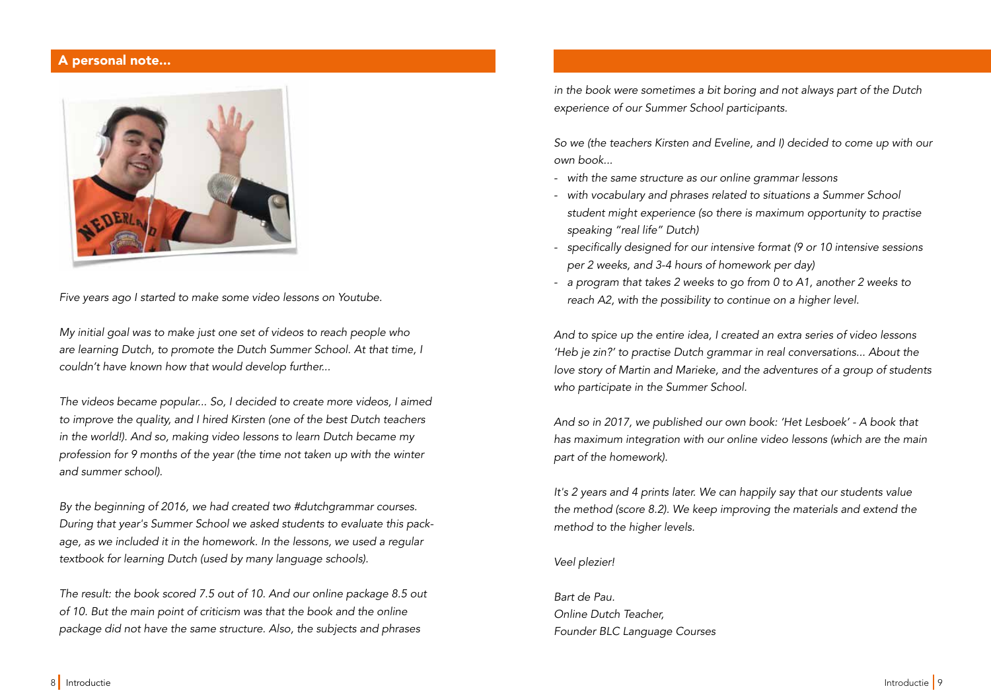## A personal note...



Five years ago I started to make some video lessons on Youtube.

My initial goal was to make just one set of videos to reach people who are learning Dutch, to promote the Dutch Summer School. At that time, I couldn't have known how that would develop further...

The videos became popular... So, I decided to create more videos, I aimed to improve the quality, and I hired Kirsten (one of the best Dutch teachers in the world!). And so, making video lessons to learn Dutch became my profession for 9 months of the year (the time not taken up with the winter and summer school).

By the beginning of 2016, we had created two #dutchgrammar courses. During that year's Summer School we asked students to evaluate this package, as we included it in the homework. In the lessons, we used a regular textbook for learning Dutch (used by many language schools).

The result: the book scored 7.5 out of 10. And our online package 8.5 out of 10. But the main point of criticism was that the book and the online package did not have the same structure. Also, the subjects and phrases

in the book were sometimes a bit boring and not always part of the Dutch experience of our Summer School participants.

So we (the teachers Kirsten and Eveline, and I) decided to come up with our own book...

- with the same structure as our online grammar lessons
- with vocabulary and phrases related to situations a Summer School student might experience (so there is maximum opportunity to practise speaking "real life" Dutch)
- specifically designed for our intensive format (9 or 10 intensive sessions per 2 weeks, and 3-4 hours of homework per day)
- a program that takes 2 weeks to go from 0 to A1, another 2 weeks to reach A2, with the possibility to continue on a higher level.

And to spice up the entire idea, I created an extra series of video lessons 'Heb je zin?' to practise Dutch grammar in real conversations... About the love story of Martin and Marieke, and the adventures of a group of students who participate in the Summer School.

And so in 2017, we published our own book: 'Het Lesboek' - A book that has maximum integration with our online video lessons (which are the main part of the homework).

It's 2 years and 4 prints later. We can happily say that our students value the method (score 8.2). We keep improving the materials and extend the method to the higher levels.

#### Veel plezier!

Bart de Pau. Online Dutch Teacher, Founder BLC Language Courses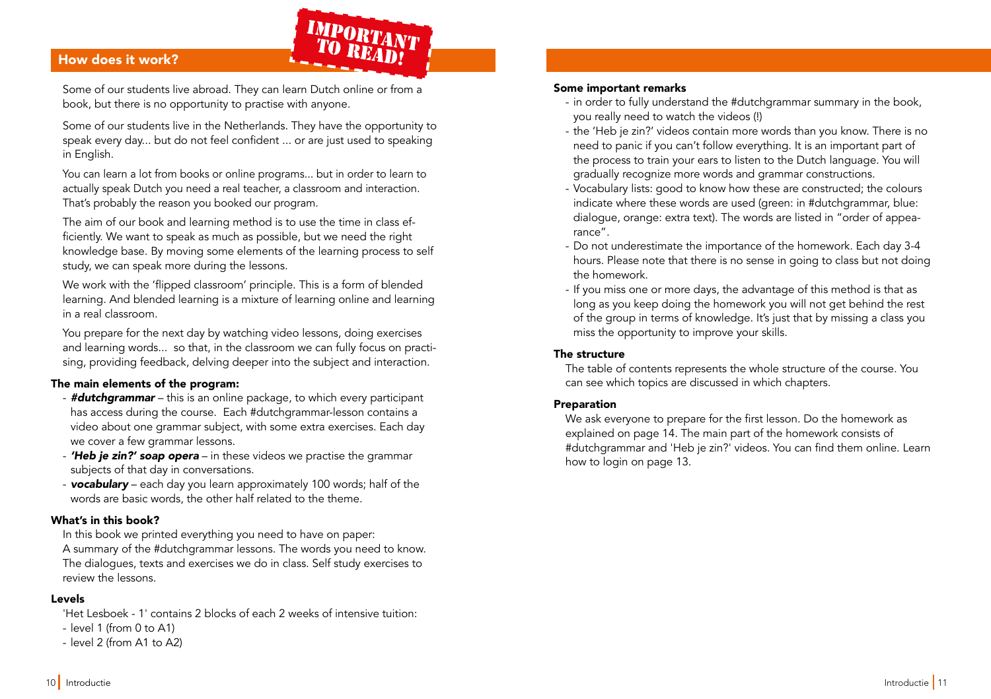## How does it work? How does it work?

Some of our students live abroad. They can learn Dutch online or from a book, but there is no opportunity to practise with anyone.

IMPORTANT<br>TO READ!

Some of our students live in the Netherlands. They have the opportunity to speak every day... but do not feel confident ... or are just used to speaking in English.

You can learn a lot from books or online programs... but in order to learn to actually speak Dutch you need a real teacher, a classroom and interaction. That's probably the reason you booked our program.

The aim of our book and learning method is to use the time in class efficiently. We want to speak as much as possible, but we need the right knowledge base. By moving some elements of the learning process to self study, we can speak more during the lessons.

We work with the 'fipped classroom' principle. This is a form of blended learning. And blended learning is a mixture of learning online and learning in a real classroom.

You prepare for the next day by watching video lessons, doing exercises and learning words... so that, in the classroom we can fully focus on practising, providing feedback, delving deeper into the subject and interaction.

## The main elements of the program:

- **#dutchgrammar** this is an online package, to which every participant has access during the course. Each #dutchgrammar-lesson contains a video about one grammar subject, with some extra exercises. Each day we cover a few grammar lessons.
- **'Heb je zin?' soap opera** in these videos we practise the grammar subjects of that day in conversations.
- vocabulary each day you learn approximately 100 words; half of the words are basic words, the other half related to the theme.

## What's in this book?

In this book we printed everything you need to have on paper: A summary of the #dutchgrammar lessons. The words you need to know. The dialogues, texts and exercises we do in class. Self study exercises to review the lessons.

## Levels

'Het Lesboek - 1' contains 2 blocks of each 2 weeks of intensive tuition:

- level 1 (from 0 to A1)
- level 2 (from A1 to A2)

#### Some important remarks

- in order to fully understand the #dutchgrammar summary in the book, you really need to watch the videos (!)
- the 'Heb je zin?' videos contain more words than you know. There is no need to panic if you can't follow everything. It is an important part of the process to train your ears to listen to the Dutch language. You will gradually recognize more words and grammar constructions.
- Vocabulary lists: good to know how these are constructed; the colours indicate where these words are used (green: in #dutchgrammar, blue: dialogue, orange: extra text). The words are listed in "order of appearance".
- Do not underestimate the importance of the homework. Each day 3-4 hours. Please note that there is no sense in going to class but not doing the homework.
- If you miss one or more days, the advantage of this method is that as long as you keep doing the homework you will not get behind the rest of the group in terms of knowledge. It's just that by missing a class you miss the opportunity to improve your skills.

### The structure

The table of contents represents the whole structure of the course. You can see which topics are discussed in which chapters.

#### Preparation

We ask everyone to prepare for the first lesson. Do the homework as explained on page 14. The main part of the homework consists of #dutchgrammar and 'Heb je zin?' videos. You can find them online. Learn how to login on page 13.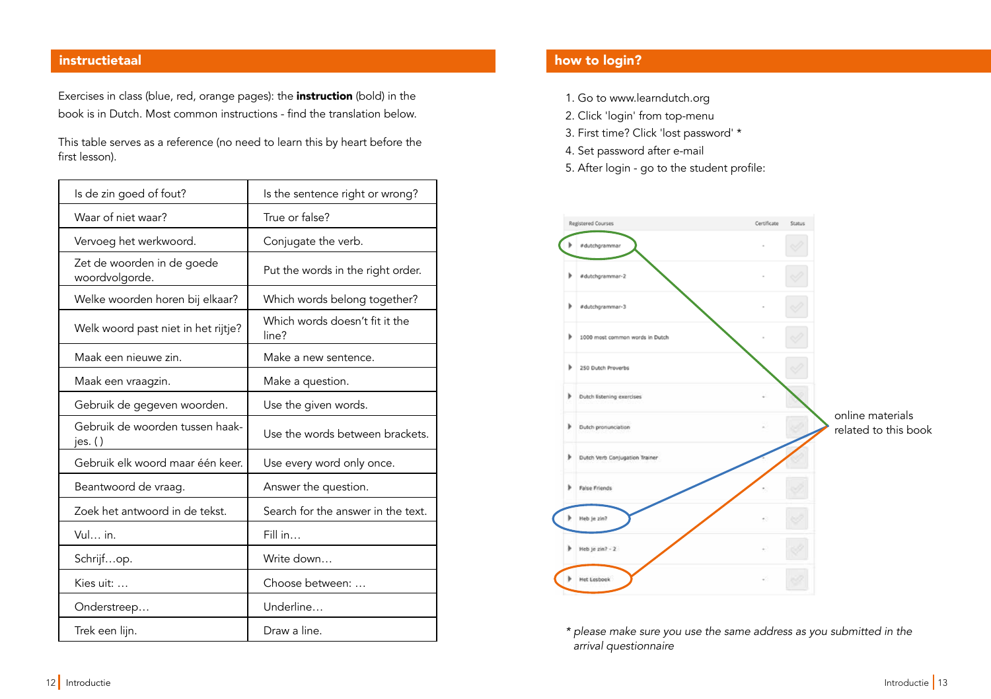Exercises in class (blue, red, orange pages): the **instruction** (bold) in the book is in Dutch. Most common instructions - fnd the translation below.

This table serves as a reference (no need to learn this by heart before the first lesson).

| Is de zin goed of fout?                      | Is the sentence right or wrong?         |  |
|----------------------------------------------|-----------------------------------------|--|
| Waar of niet waar?                           | True or false?                          |  |
| Vervoeg het werkwoord.                       | Conjugate the verb.                     |  |
| Zet de woorden in de goede<br>woordvolgorde. | Put the words in the right order.       |  |
| Welke woorden horen bij elkaar?              | Which words belong together?            |  |
| Welk woord past niet in het rijtje?          | Which words doesn't fit it the<br>line? |  |
| Maak een nieuwe zin.                         | Make a new sentence.                    |  |
| Maak een vraagzin.                           | Make a question.                        |  |
| Gebruik de gegeven woorden.                  | Use the given words.                    |  |
| Gebruik de woorden tussen haak-<br>jes. $()$ | Use the words between brackets.         |  |
| Gebruik elk woord maar één keer.             | Use every word only once.               |  |
| Beantwoord de vraag.                         | Answer the question.                    |  |
| Zoek het antwoord in de tekst.               | Search for the answer in the text.      |  |
| Vul in.                                      | Fill in                                 |  |
| Schrijfop.                                   | Write down                              |  |
| Kies uit:                                    | Choose between:                         |  |
| Onderstreep                                  | Underline                               |  |
| Trek een lijn.                               | Draw a line.                            |  |

## instructietaal how to login? The contraction of the contraction of the contraction of the contraction of the co

- 1. Go to www.learndutch.org
- 2. Click 'login' from top-menu
- 3. First time? Click 'lost password' \*
- 4. Set password after e-mail
- 5. After login go to the student profle:



\* please make sure you use the same address as you submitted in the arrival questionnaire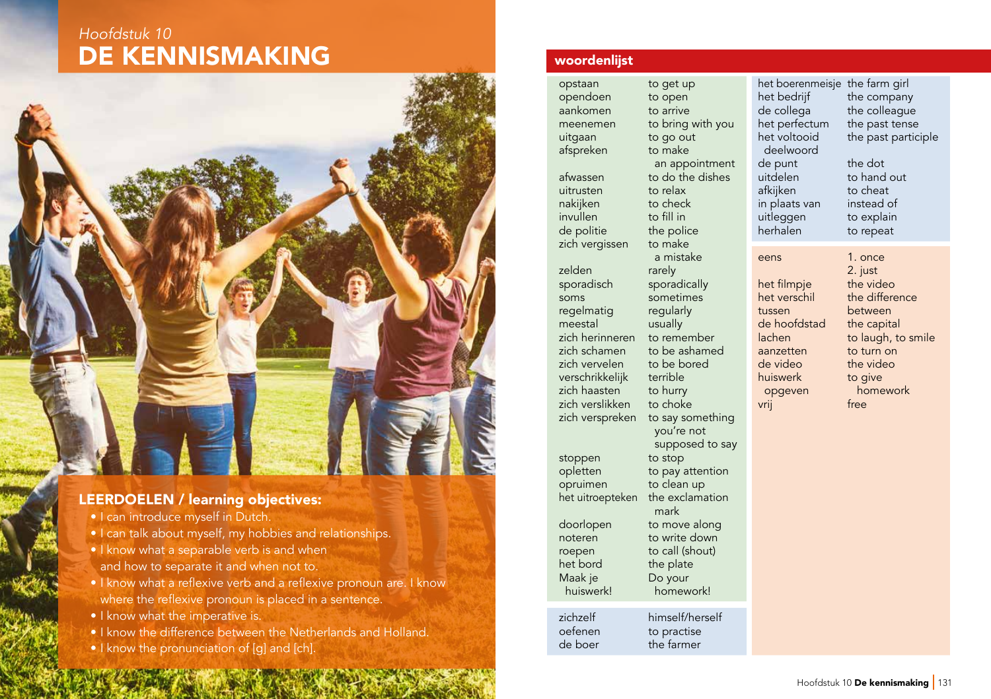# DE KENNISMAKING Hoofdstuk 10



## LEERDOELEN / learning objectives:

- I can introduce myself in Dutch.
- I can talk about myself, my hobbies and relationships.
- I know what a separable verb is and when and how to separate it and when not to.
- I know what a reflexive verb and a reflexive pronoun are. I know where the reflexive pronoun is placed in a sentence.
- I know what the imperative is.
- I know the difference between the Netherlands and Holland.
- I know the pronunciation of [g] and [ch].

## woordenlist

opendoen to open aankomen to arrive meenemen to bring with you uitgaan to go out afspreken to make an appointment<br>afwassen bo do the dishes uitrusten to relax<br>
nakiiken to check nakijken to check<br>
invullen to fill in invullen de politie the police<br>zich vergissen to make zich vergissen zelden rarely sporadisch sporadically soms sometimes regelmatig regularly meestal usually zich herinneren to remember zich schamen to be ashamed<br>zich vervelen to be bored zich vervelen to be bort<br>verschrikkelijk terrible verschrikkelijk zich haasten to hurry<br>zich verslikken to choke zich verslikken zich verspreken to say something stoppen to stop opletten to pay attention<br>opruimen to clean up het uitroepteken the exclamation mark<br>doorlopen to mov noteren to write down roepen to call (shout) het bord the plate Maak je Do your huiswerk! homework! zichzelf himself/herself oefenen to practise<br>de boer the farmer the farmer

opstaan to get up to do the dishes a mistake you're not supposed to say to clean up to move along

het boerenmeisje the farm girl het bedrijf the company<br>de collega the colleague de collega the colleague<br>het perfectum the past tense het perfectum the past tense<br>het voltooid the past partic deelwoord de punt the dot<br>uitdelen to hand afkijken to cheat<br>in plaats van instead of in plaats van instead of<br>uitleggen to explain uitleggen<br>herhalen eens 1. once het filmpje<br>het verschil tussen between de hoofdstad the capital lachen to laugh, to smile aanzetten to turn on<br>de video the video de video the video<br>
to give to give

2. just<br>the video the difference to give opgeven homework vrij free

the past participle

to hand out

to repeat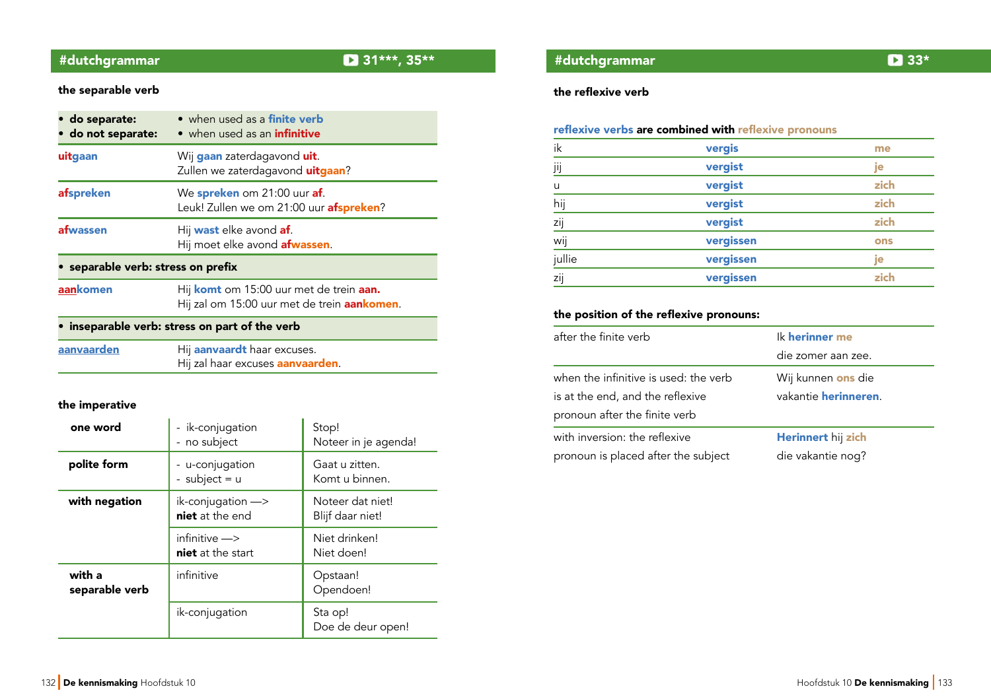# #dutchgrammar 31\*\*\*, 35\*\*

## the separable verb

| · do separate:<br>• do not separate: | • when used as a finite verb<br>• when used as an <i>infinitive</i>                            |
|--------------------------------------|------------------------------------------------------------------------------------------------|
| uitgaan                              | Wij gaan zaterdagavond uit.<br>Zullen we zaterdagavond uitgaan?                                |
| afspreken                            | We spreken om 21:00 uur af.<br>Leuk! Zullen we om 21:00 uur afspreken?                         |
| afwassen                             | Hij <b>wast</b> elke avond <b>af</b> .<br>Hij moet elke avond <b>afwassen</b> .                |
| • separable verb: stress on prefix   |                                                                                                |
| aankomen                             | Hij komt om 15:00 uur met de trein aan.<br>Hij zal om 15:00 uur met de trein <b>aankomen</b> . |
|                                      | inseparable verb: stress on part of the verb                                                   |
| <b>SABUSSED AB</b>                   | <u>Lii aanvaardt baar oveusse</u>                                                              |

| aanvaarden | Hij <b>aanvaardt</b> haar excuses.       |
|------------|------------------------------------------|
|            | Hij zal haar excuses <b>aanvaarden</b> . |
|            |                                          |

## the imperative

| one word                 | - ik-conjugation<br>- no subject                   | Stop!<br>Noteer in je agenda!        |
|--------------------------|----------------------------------------------------|--------------------------------------|
| polite form              | - u-conjugation<br>- subject = $u$                 | Gaat u zitten.<br>Komt u binnen.     |
| with negation            | $ik$ -conjugation $\rightarrow$<br>niet at the end | Noteer dat niet!<br>Blijf daar niet! |
|                          | infinitive -><br>niet at the start                 | Niet drinken!<br>Niet doen!          |
| with a<br>separable verb | infinitive                                         | Opstaan!<br>Opendoen!                |
|                          | ik-conjugation                                     | Sta op!<br>Doe de deur open!         |

## the reflexive verb

| ik     | vergis    | me   |
|--------|-----------|------|
| jij    | vergist   | je   |
| u      | vergist   | zich |
| hij    | vergist   | zich |
| zij    | vergist   | zich |
| wij    | vergissen | ons  |
| jullie | vergissen | je   |
| zij    | vergissen | zich |

## the position of the reflexive pronouns:

| after the finite verb                 | Ik herinner me       |
|---------------------------------------|----------------------|
|                                       | die zomer aan zee.   |
| when the infinitive is used: the verb | Wij kunnen ons die   |
| is at the end, and the reflexive      | vakantie herinneren. |
| pronoun after the finite verb         |                      |
| with inversion: the reflexive         | Herinnert hij zich   |
| pronoun is placed after the subject   | die vakantie nog?    |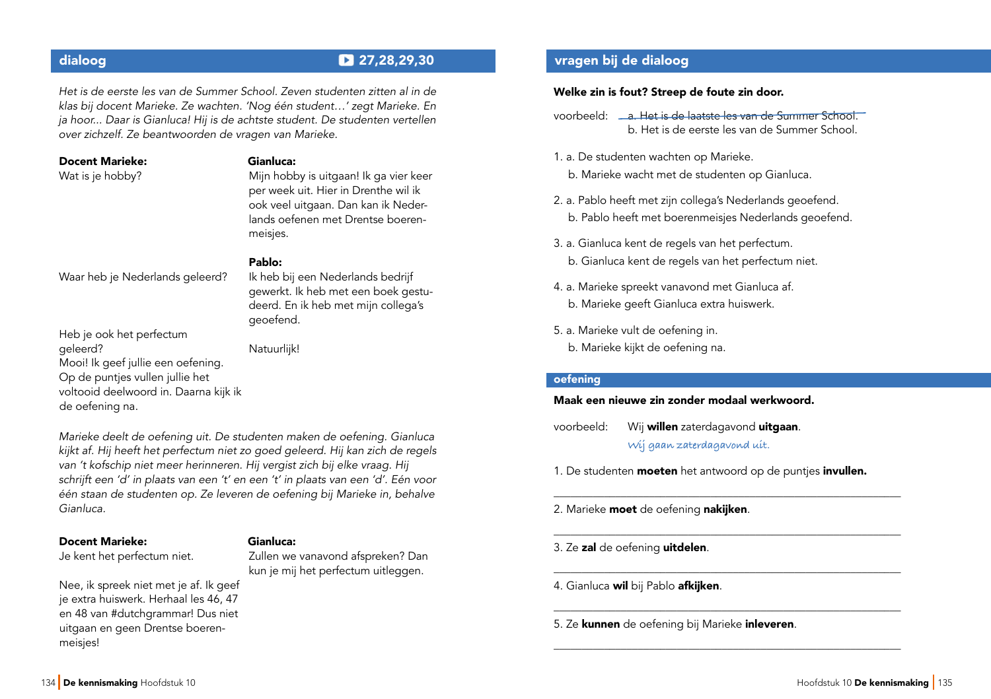Het is de eerste les van de Summer School. Zeven studenten zitten al in de klas bij docent Marieke. Ze wachten. 'Nog één student…' zegt Marieke. En ja hoor... Daar is Gianluca! Hij is de achtste student. De studenten vertellen over zichzelf. Ze beantwoorden de vragen van Marieke.

| <b>Docent Marieke:</b> | Gianluca:                              |
|------------------------|----------------------------------------|
| Wat is je hobby?       | Mijn hobby is uitgaan! Ik ga vier keer |
|                        | per week uit. Hier in Drenthe wil ik   |
|                        | ook veel uitgaan. Dan kan ik Neder-    |
|                        | lands oefenen met Drentse boeren-      |
|                        | meisjes.                               |

#### Pablo:

Waar heb je Nederlands geleerd?

Ik heb bij een Nederlands bedrijf gewerkt. Ik heb met een boek gestudeerd. En ik heb met mijn collega's geoefend.

Heb je ook het perfectum geleerd? Mooi! Ik geef jullie een oefening. Op de puntjes vullen jullie het voltooid deelwoord in. Daarna kijk ik de oefening na.

Natuurlijk!

Marieke deelt de oefening uit. De studenten maken de oefening. Gianluca kijkt af. Hij heeft het perfectum niet zo goed geleerd. Hij kan zich de regels van 't kofschip niet meer herinneren. Hij vergist zich bij elke vraag. Hij schrijft een 'd' in plaats van een 't' en een 't' in plaats van een 'd'. Eén voor één staan de studenten op. Ze leveren de oefening bij Marieke in, behalve Gianluca.

#### Docent Marieke:

Je kent het perfectum niet.

#### Gianluca:

Zullen we vanavond afspreken? Dan kun je mij het perfectum uitleggen.

Nee, ik spreek niet met je af. Ik geef je extra huiswerk. Herhaal les 46, 47 en 48 van #dutchgrammar! Dus niet uitgaan en geen Drentse boerenmeisjes!

## dialoog 27,28,29,30 vragen bij de dialoog

#### Welke zin is fout? Streep de foute zin door.

- voorbeeld: a. Het is de laatste les van de Summer School. b. Het is de eerste les van de Summer School.
- 1. a. De studenten wachten op Marieke.
	- b. Marieke wacht met de studenten op Gianluca.
- 2. a. Pablo heeft met zijn collega's Nederlands geoefend. b. Pablo heeft met boerenmeisjes Nederlands geoefend.
- 3. a. Gianluca kent de regels van het perfectum. b. Gianluca kent de regels van het perfectum niet.
- 4. a. Marieke spreekt vanavond met Gianluca af. b. Marieke geeft Gianluca extra huiswerk.
- 5. a. Marieke vult de oefening in. b. Marieke kijkt de oefening na.

#### oefening

#### Maak een nieuwe zin zonder modaal werkwoord.

- voorbeeld: Wij willen zaterdagavond uitgaan. **Wij gaan zaterdagavond uit.**
- 1. De studenten **moeten** het antwoord op de punties *invullen*.

\_\_\_\_\_\_\_\_\_\_\_\_\_\_\_\_\_\_\_\_\_\_\_\_\_\_\_\_\_\_\_\_\_\_\_\_\_\_\_\_\_\_\_\_\_\_\_\_\_\_\_\_\_\_\_\_\_\_\_\_\_\_

\_\_\_\_\_\_\_\_\_\_\_\_\_\_\_\_\_\_\_\_\_\_\_\_\_\_\_\_\_\_\_\_\_\_\_\_\_\_\_\_\_\_\_\_\_\_\_\_\_\_\_\_\_\_\_\_\_\_\_\_\_\_

\_\_\_\_\_\_\_\_\_\_\_\_\_\_\_\_\_\_\_\_\_\_\_\_\_\_\_\_\_\_\_\_\_\_\_\_\_\_\_\_\_\_\_\_\_\_\_\_\_\_\_\_\_\_\_\_\_\_\_\_\_\_

\_\_\_\_\_\_\_\_\_\_\_\_\_\_\_\_\_\_\_\_\_\_\_\_\_\_\_\_\_\_\_\_\_\_\_\_\_\_\_\_\_\_\_\_\_\_\_\_\_\_\_\_\_\_\_\_\_\_\_\_\_\_

\_\_\_\_\_\_\_\_\_\_\_\_\_\_\_\_\_\_\_\_\_\_\_\_\_\_\_\_\_\_\_\_\_\_\_\_\_\_\_\_\_\_\_\_\_\_\_\_\_\_\_\_\_\_\_\_\_\_\_\_\_\_

- 2. Marieke moet de oefening nakijken.
- 3. Ze zal de oefening uitdelen.
- 4. Gianluca wil bij Pablo afkijken.
- 5. Ze kunnen de oefening bij Marieke inleveren.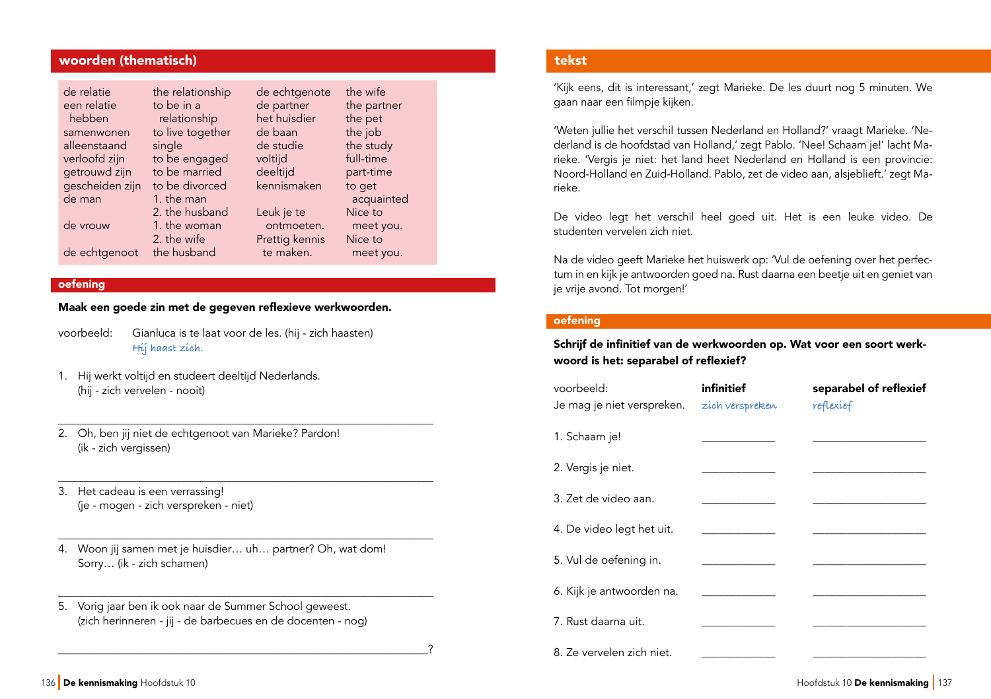## woorden (thematisch)

| de relatie      | the relationship | de echtgenote  | the wife    |
|-----------------|------------------|----------------|-------------|
| een relatie     | to be in a       | de partner     | the partner |
| hebben          | relationship     | het huisdier   | the pet     |
| samenwonen      | to live together | de baan        | the job     |
| alleenstaand    | single           | de studie      | the study   |
| verloofd zijn   | to be engaged    | voltijd        | full-time   |
| getrouwd zijn   | to be married    | deeltijd       | part-time   |
| gescheiden zijn | to be divorced   | kennismaken    | to get      |
| de man          | 1. the man       |                | acquainted  |
|                 | 2. the husband   | Leuk je te     | Nice to     |
| de vrouw        | 1. the woman     | ontmoeten.     | meet you.   |
|                 | 2. the wife      | Prettig kennis | Nice to     |
| de echtgenoot   | the husband      | te maken.      | meet you.   |

### oefening

Maak een goede zin met de gegeven refexieve werkwoorden.

\_\_\_\_\_\_\_\_\_\_\_\_\_\_\_\_\_\_\_\_\_\_\_\_\_\_\_\_\_\_\_\_\_\_\_\_\_\_\_\_\_\_\_\_\_\_\_\_\_\_\_\_\_\_\_\_\_\_\_\_\_\_\_\_\_\_\_

\_\_\_\_\_\_\_\_\_\_\_\_\_\_\_\_\_\_\_\_\_\_\_\_\_\_\_\_\_\_\_\_\_\_\_\_\_\_\_\_\_\_\_\_\_\_\_\_\_\_\_\_\_\_\_\_\_\_\_\_\_\_\_\_\_\_\_

\_\_\_\_\_\_\_\_\_\_\_\_\_\_\_\_\_\_\_\_\_\_\_\_\_\_\_\_\_\_\_\_\_\_\_\_\_\_\_\_\_\_\_\_\_\_\_\_\_\_\_\_\_\_\_\_\_\_\_\_\_\_\_\_\_\_\_

\_\_\_\_\_\_\_\_\_\_\_\_\_\_\_\_\_\_\_\_\_\_\_\_\_\_\_\_\_\_\_\_\_\_\_\_\_\_\_\_\_\_\_\_\_\_\_\_\_\_\_\_\_\_\_\_\_\_\_\_\_\_\_\_\_\_\_

\_\_\_\_\_\_\_\_\_\_\_\_\_\_\_\_\_\_\_\_\_\_\_\_\_\_\_\_\_\_\_\_\_\_\_\_\_\_\_\_\_\_\_\_\_\_\_\_\_\_\_\_\_\_\_\_\_\_\_\_\_\_\_\_\_\_?

- voorbeeld: Gianluca is te laat voor de les. (hij zich haasten) **Hij haast zich.**
- 1. Hij werkt voltijd en studeert deeltijd Nederlands. (hij - zich vervelen - nooit)
- 2. Oh, ben jij niet de echtgenoot van Marieke? Pardon! (ik - zich vergissen)
- 3. Het cadeau is een verrassing! (je - mogen - zich verspreken - niet)
- 4. Woon jij samen met je huisdier… uh… partner? Oh, wat dom! Sorry… (ik - zich schamen)
- 5. Vorig jaar ben ik ook naar de Summer School geweest. (zich herinneren - jij - de barbecues en de docenten - nog)

## tekst

'Kijk eens, dit is interessant,' zegt Marieke. De les duurt nog 5 minuten. We gaan naar een filmpje kijken.

'Weten jullie het verschil tussen Nederland en Holland?' vraagt Marieke. 'Nederland is de hoofdstad van Holland,' zegt Pablo. 'Nee! Schaam je!' lacht Marieke. 'Vergis je niet: het land heet Nederland en Holland is een provincie: Noord-Holland en Zuid-Holland. Pablo, zet de video aan, alsjeblieft.' zegt Marieke.

De video legt het verschil heel goed uit. Het is een leuke video. De studenten vervelen zich niet.

Na de video geeft Marieke het huiswerk op: 'Vul de oefening over het perfectum in en kijk je antwoorden goed na. Rust daarna een beetje uit en geniet van je vrije avond. Tot morgen!'

## oefening

Schrif de infnitief van de werkwoorden op. Wat voor een soort werkwoord is het: separabel of reflexief?

| voorbeeld:<br>Je mag je niet verspreken. zích verspreken | infinitief | separabel of reflexief<br>reflexief |
|----------------------------------------------------------|------------|-------------------------------------|
| 1. Schaam je!                                            |            |                                     |
| 2. Vergis je niet.                                       |            |                                     |
| 3. Zet de video aan.                                     |            |                                     |
| 4. De video legt het uit.                                |            |                                     |
| 5. Vul de oefening in.                                   |            |                                     |
| 6. Kijk je antwoorden na.                                |            |                                     |
| 7. Rust daarna uit.                                      |            |                                     |
| 8. Ze vervelen zich niet.                                |            |                                     |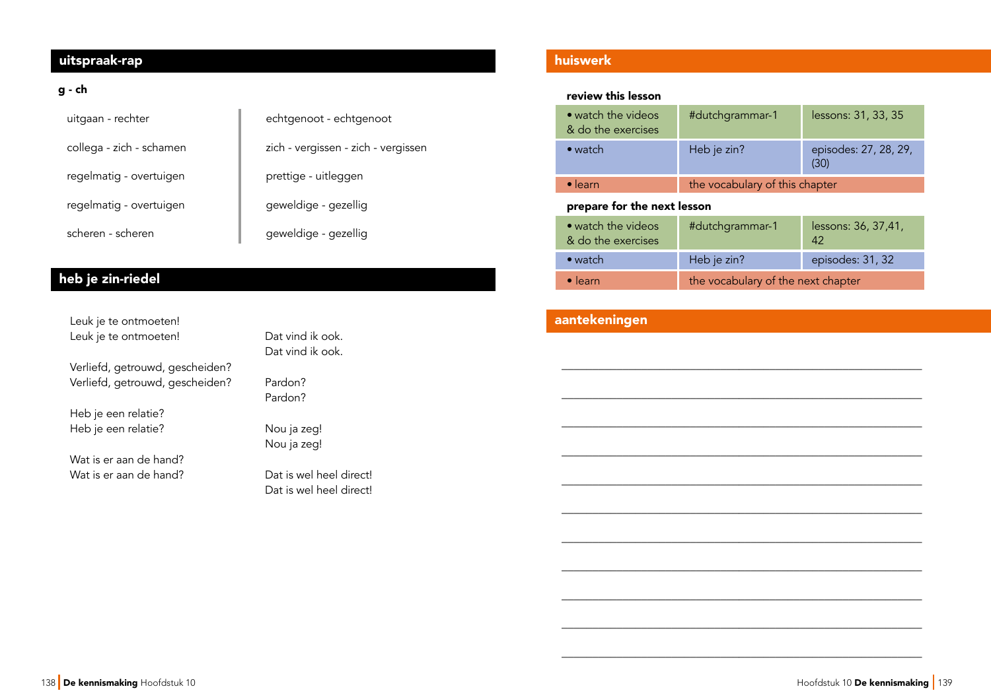## uitspraak-rap uitspraak-rap

## g - ch

| uitgaan - rechter        | echtgenoot - echtgenoot             |  |
|--------------------------|-------------------------------------|--|
| collega - zich - schamen | zich - vergissen - zich - vergissen |  |
| regelmatig - overtuigen  | prettige - uitleggen                |  |
| regelmatig - overtuigen  | geweldige - gezellig                |  |
| scheren - scheren        | geweldige - gezellig                |  |

# heb je zin-riedel

| Leuk je te ontmoeten!           |                   |
|---------------------------------|-------------------|
| Leuk je te ontmoeten!           | Dat vind ik ook.  |
|                                 | Dat vind ik ook.  |
| Verliefd, getrouwd, gescheiden? |                   |
| Verliefd, getrouwd, gescheiden? | Pardon?           |
|                                 | Pardon?           |
| Heb je een relatie?             |                   |
| Heb je een relatie?             | Nou ja zeg!       |
|                                 | Nou ja zeg!       |
| Wat is er aan de hand?          |                   |
| Wat is er aan de hand?          | Dat is wel heel c |

el direct! Dat is wel heel direct!

## huiswerk

## review this lesson

| • watch the videos<br>& do the exercises | #dutchgrammar-1                | lessons: 31, 33, 35           |
|------------------------------------------|--------------------------------|-------------------------------|
| $\bullet$ watch                          | Heb je zin?                    | episodes: 27, 28, 29,<br>(30) |
| $\bullet$ learn                          | the vocabulary of this chapter |                               |

## prepare for the next lesson

| • watch the videos<br>& do the exercises | #dutchgrammar-1                    | lessons: 36, 37,41,<br>42 |
|------------------------------------------|------------------------------------|---------------------------|
| $\bullet$ watch                          | Heb je zin?                        | episodes: 31, 32          |
| $\bullet$ learn                          | the vocabulary of the next chapter |                           |

\_\_\_\_\_\_\_\_\_\_\_\_\_\_\_\_\_\_\_\_\_\_\_\_\_\_\_\_\_\_\_\_\_\_\_\_\_\_\_\_\_\_\_\_\_\_\_\_\_\_\_\_\_\_\_\_\_\_\_

\_\_\_\_\_\_\_\_\_\_\_\_\_\_\_\_\_\_\_\_\_\_\_\_\_\_\_\_\_\_\_\_\_\_\_\_\_\_\_\_\_\_\_\_\_\_\_\_\_\_\_\_\_\_\_\_\_\_\_

\_\_\_\_\_\_\_\_\_\_\_\_\_\_\_\_\_\_\_\_\_\_\_\_\_\_\_\_\_\_\_\_\_\_\_\_\_\_\_\_\_\_\_\_\_\_\_\_\_\_\_\_\_\_\_\_\_\_\_

\_\_\_\_\_\_\_\_\_\_\_\_\_\_\_\_\_\_\_\_\_\_\_\_\_\_\_\_\_\_\_\_\_\_\_\_\_\_\_\_\_\_\_\_\_\_\_\_\_\_\_\_\_\_\_\_\_\_\_

\_\_\_\_\_\_\_\_\_\_\_\_\_\_\_\_\_\_\_\_\_\_\_\_\_\_\_\_\_\_\_\_\_\_\_\_\_\_\_\_\_\_\_\_\_\_\_\_\_\_\_\_\_\_\_\_\_\_\_

\_\_\_\_\_\_\_\_\_\_\_\_\_\_\_\_\_\_\_\_\_\_\_\_\_\_\_\_\_\_\_\_\_\_\_\_\_\_\_\_\_\_\_\_\_\_\_\_\_\_\_\_\_\_\_\_\_\_\_

\_\_\_\_\_\_\_\_\_\_\_\_\_\_\_\_\_\_\_\_\_\_\_\_\_\_\_\_\_\_\_\_\_\_\_\_\_\_\_\_\_\_\_\_\_\_\_\_\_\_\_\_\_\_\_\_\_\_\_

\_\_\_\_\_\_\_\_\_\_\_\_\_\_\_\_\_\_\_\_\_\_\_\_\_\_\_\_\_\_\_\_\_\_\_\_\_\_\_\_\_\_\_\_\_\_\_\_\_\_\_\_\_\_\_\_\_\_\_

\_\_\_\_\_\_\_\_\_\_\_\_\_\_\_\_\_\_\_\_\_\_\_\_\_\_\_\_\_\_\_\_\_\_\_\_\_\_\_\_\_\_\_\_\_\_\_\_\_\_\_\_\_\_\_\_\_\_\_

\_\_\_\_\_\_\_\_\_\_\_\_\_\_\_\_\_\_\_\_\_\_\_\_\_\_\_\_\_\_\_\_\_\_\_\_\_\_\_\_\_\_\_\_\_\_\_\_\_\_\_\_\_\_\_\_\_\_\_

\_\_\_\_\_\_\_\_\_\_\_\_\_\_\_\_\_\_\_\_\_\_\_\_\_\_\_\_\_\_\_\_\_\_\_\_\_\_\_\_\_\_\_\_\_\_\_\_\_\_\_\_\_\_\_\_\_\_\_

## aantekeningen